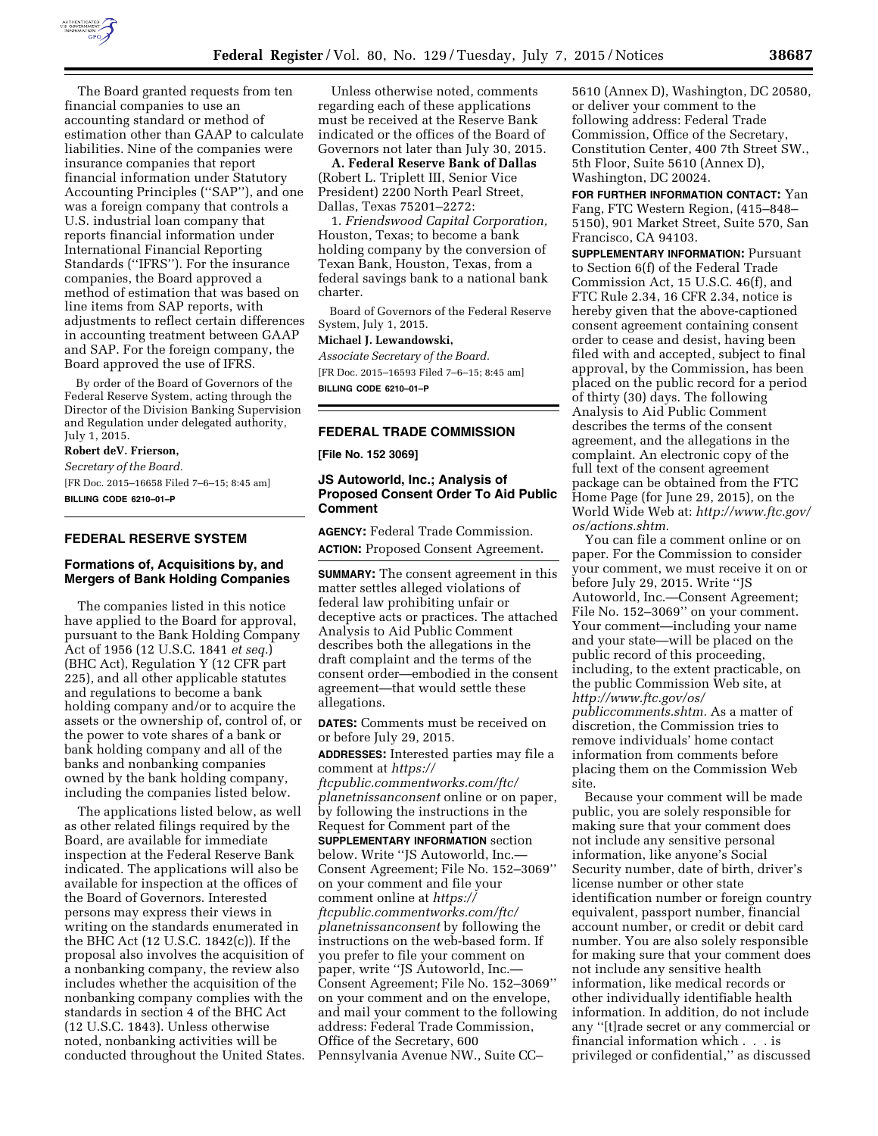

The Board granted requests from ten financial companies to use an accounting standard or method of estimation other than GAAP to calculate liabilities. Nine of the companies were insurance companies that report financial information under Statutory Accounting Principles (''SAP''), and one was a foreign company that controls a U.S. industrial loan company that reports financial information under International Financial Reporting Standards (''IFRS''). For the insurance companies, the Board approved a method of estimation that was based on line items from SAP reports, with adjustments to reflect certain differences in accounting treatment between GAAP and SAP. For the foreign company, the Board approved the use of IFRS.

By order of the Board of Governors of the Federal Reserve System, acting through the Director of the Division Banking Supervision and Regulation under delegated authority, July 1, 2015.

# **Robert deV. Frierson,**

*Secretary of the Board.*  [FR Doc. 2015–16658 Filed 7–6–15; 8:45 am] **BILLING CODE 6210–01–P** 

# **FEDERAL RESERVE SYSTEM**

### **Formations of, Acquisitions by, and Mergers of Bank Holding Companies**

The companies listed in this notice have applied to the Board for approval, pursuant to the Bank Holding Company Act of 1956 (12 U.S.C. 1841 *et seq.*) (BHC Act), Regulation Y (12 CFR part 225), and all other applicable statutes and regulations to become a bank holding company and/or to acquire the assets or the ownership of, control of, or the power to vote shares of a bank or bank holding company and all of the banks and nonbanking companies owned by the bank holding company, including the companies listed below.

The applications listed below, as well as other related filings required by the Board, are available for immediate inspection at the Federal Reserve Bank indicated. The applications will also be available for inspection at the offices of the Board of Governors. Interested persons may express their views in writing on the standards enumerated in the BHC Act (12 U.S.C. 1842(c)). If the proposal also involves the acquisition of a nonbanking company, the review also includes whether the acquisition of the nonbanking company complies with the standards in section 4 of the BHC Act (12 U.S.C. 1843). Unless otherwise noted, nonbanking activities will be conducted throughout the United States.

Unless otherwise noted, comments regarding each of these applications must be received at the Reserve Bank indicated or the offices of the Board of Governors not later than July 30, 2015.

**A. Federal Reserve Bank of Dallas**  (Robert L. Triplett III, Senior Vice President) 2200 North Pearl Street, Dallas, Texas 75201–2272:

1. *Friendswood Capital Corporation,*  Houston, Texas; to become a bank holding company by the conversion of Texan Bank, Houston, Texas, from a federal savings bank to a national bank charter.

Board of Governors of the Federal Reserve System, July 1, 2015.

#### **Michael J. Lewandowski,**

*Associate Secretary of the Board.*  [FR Doc. 2015–16593 Filed 7–6–15; 8:45 am] **BILLING CODE 6210–01–P** 

### **FEDERAL TRADE COMMISSION**

**[File No. 152 3069]** 

# **JS Autoworld, Inc.; Analysis of Proposed Consent Order To Aid Public Comment**

**AGENCY:** Federal Trade Commission. **ACTION:** Proposed Consent Agreement.

**SUMMARY:** The consent agreement in this matter settles alleged violations of federal law prohibiting unfair or deceptive acts or practices. The attached Analysis to Aid Public Comment describes both the allegations in the draft complaint and the terms of the consent order—embodied in the consent agreement—that would settle these allegations.

**DATES:** Comments must be received on or before July 29, 2015.

**ADDRESSES:** Interested parties may file a comment at *[https://](https://ftcpublic.commentworks.com/ftc/planetnissanconsent)*

*[ftcpublic.commentworks.com/ftc/](https://ftcpublic.commentworks.com/ftc/planetnissanconsent) [planetnissanconsent](https://ftcpublic.commentworks.com/ftc/planetnissanconsent)* online or on paper, by following the instructions in the Request for Comment part of the **SUPPLEMENTARY INFORMATION** section below. Write ''JS Autoworld, Inc.— Consent Agreement; File No. 152–3069'' on your comment and file your comment online at *[https://](https://ftcpublic.commentworks.com/ftc/planetnissanconsent) [ftcpublic.commentworks.com/ftc/](https://ftcpublic.commentworks.com/ftc/planetnissanconsent) [planetnissanconsent](https://ftcpublic.commentworks.com/ftc/planetnissanconsent)* by following the instructions on the web-based form. If you prefer to file your comment on paper, write ''JS Autoworld, Inc.— Consent Agreement; File No. 152–3069'' on your comment and on the envelope, and mail your comment to the following address: Federal Trade Commission, Office of the Secretary, 600 Pennsylvania Avenue NW., Suite CC–

5610 (Annex D), Washington, DC 20580, or deliver your comment to the following address: Federal Trade Commission, Office of the Secretary, Constitution Center, 400 7th Street SW., 5th Floor, Suite 5610 (Annex D), Washington, DC 20024.

**FOR FURTHER INFORMATION CONTACT:** Yan Fang, FTC Western Region, (415–848– 5150), 901 Market Street, Suite 570, San Francisco, CA 94103.

**SUPPLEMENTARY INFORMATION: Pursuant** to Section 6(f) of the Federal Trade Commission Act, 15 U.S.C. 46(f), and FTC Rule 2.34, 16 CFR 2.34, notice is hereby given that the above-captioned consent agreement containing consent order to cease and desist, having been filed with and accepted, subject to final approval, by the Commission, has been placed on the public record for a period of thirty (30) days. The following Analysis to Aid Public Comment describes the terms of the consent agreement, and the allegations in the complaint. An electronic copy of the full text of the consent agreement package can be obtained from the FTC Home Page (for June 29, 2015), on the World Wide Web at: *[http://www.ftc.gov/](http://www.ftc.gov/os/actions.shtm)  [os/actions.shtm.](http://www.ftc.gov/os/actions.shtm)* 

You can file a comment online or on paper. For the Commission to consider your comment, we must receive it on or before July 29, 2015. Write ''JS Autoworld, Inc.—Consent Agreement; File No. 152–3069'' on your comment. Your comment—including your name and your state—will be placed on the public record of this proceeding, including, to the extent practicable, on the public Commission Web site, at *[http://www.ftc.gov/os/](http://www.ftc.gov/os/publiccomments.shtm) [publiccomments.shtm.](http://www.ftc.gov/os/publiccomments.shtm)* As a matter of discretion, the Commission tries to remove individuals' home contact information from comments before placing them on the Commission Web site.

Because your comment will be made public, you are solely responsible for making sure that your comment does not include any sensitive personal information, like anyone's Social Security number, date of birth, driver's license number or other state identification number or foreign country equivalent, passport number, financial account number, or credit or debit card number. You are also solely responsible for making sure that your comment does not include any sensitive health information, like medical records or other individually identifiable health information. In addition, do not include any ''[t]rade secret or any commercial or financial information which . . . is privileged or confidential,'' as discussed